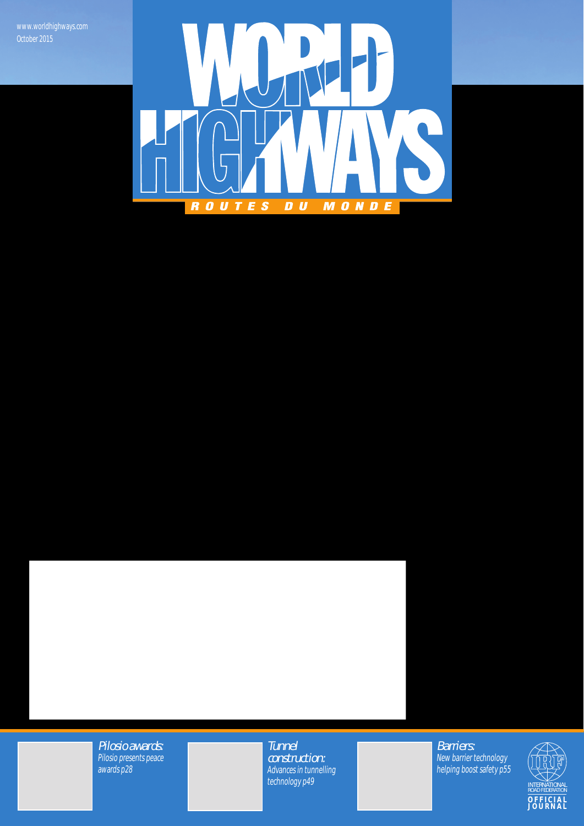

Pilosio awards: Pilosio presents peace awards p28

**Tunnel** construction: Advances in tunnelling technology p49

Barriers: New barrier technology helping boost safety p55

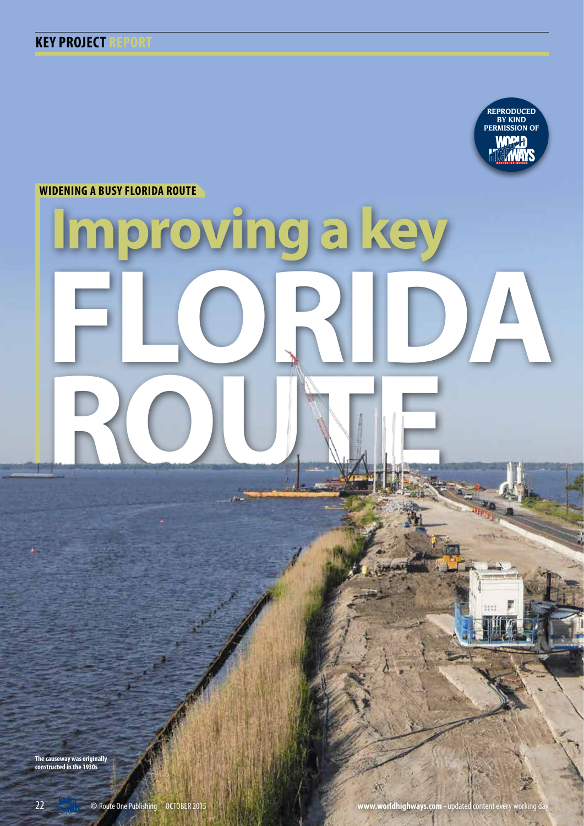

**WIDENING A BUSY FLORIDA ROUTE**

# **Improving a key FLORIDA ROUNE**

**The causeway was originally constructed in the 1930s**

郑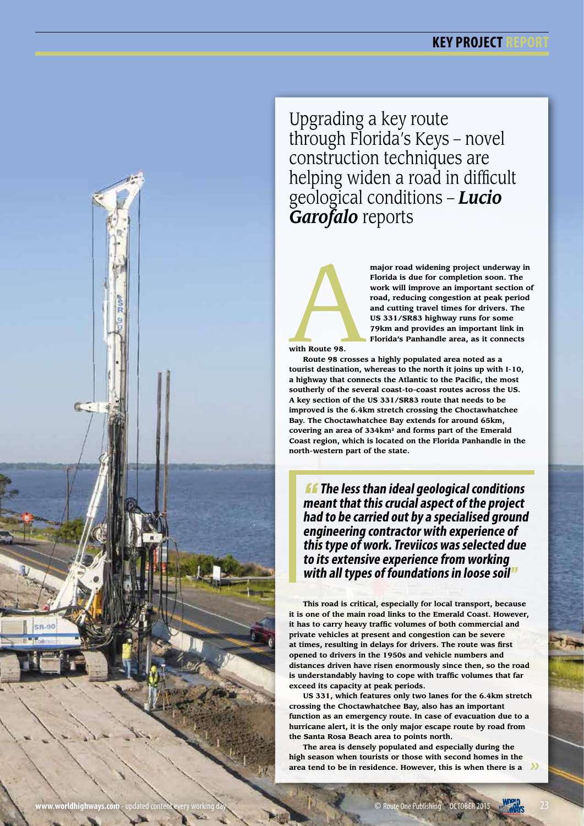# **KEY PROJECT**



Upgrading a key route through Florida's Keys – novel construction techniques are helping widen a road in difficult geological conditions – *Lucio Garofalo* reports



major road widening project underway in<br>Florida is due for completion soon. The<br>work will improve an important section of<br>road, reducing congestion at peak period<br>and cutting travel times for drivers. The<br>US 331/SR83 highw **Florida is due for completion soon. The work will improve an important section of road, reducing congestion at peak period and cutting travel times for drivers. The US 331/SR83 highway runs for some 79km and provides an important link in Florida's Panhandle area, as it connects** 

**with Route 98.** 

**Route 98 crosses a highly populated area noted as a tourist destination, whereas to the north it joins up with I-10, a highway that connects the Atlantic to the Pacific, the most southerly of the several coast-to-coast routes across the US. A key section of the US 331/SR83 route that needs to be improved is the 6.4km stretch crossing the Choctawhatchee Bay. The Choctawhatchee Bay extends for around 65km, covering an area of 334km2 and forms part of the Emerald Coast region, which is located on the Florida Panhandle in the north-western part of the state.** 

*ff* **The less than ideal geological conditions meant that this crucial aspect of the project had to be carried out by a specialised ground engineering contractor with experience of this type of work. Treviicos was selected due to its extensive experience from working with all types of foundations in loose soil**"

**This road is critical, especially for local transport, because it is one of the main road links to the Emerald Coast. However, it has to carry heavy traffic volumes of both commercial and private vehicles at present and congestion can be severe at times, resulting in delays for drivers. The route was first opened to drivers in the 1950s and vehicle numbers and distances driven have risen enormously since then, so the road is understandably having to cope with traffic volumes that far exceed its capacity at peak periods.**

**US 331, which features only two lanes for the 6.4km stretch crossing the Choctawhatchee Bay, also has an important function as an emergency route. In case of evacuation due to a hurricane alert, it is the only major escape route by road from the Santa Rosa Beach area to points north.** 

 $\rightarrow$ **The area is densely populated and especially during the high season when tourists or those with second homes in the area tend to be in residence. However, this is when there is a**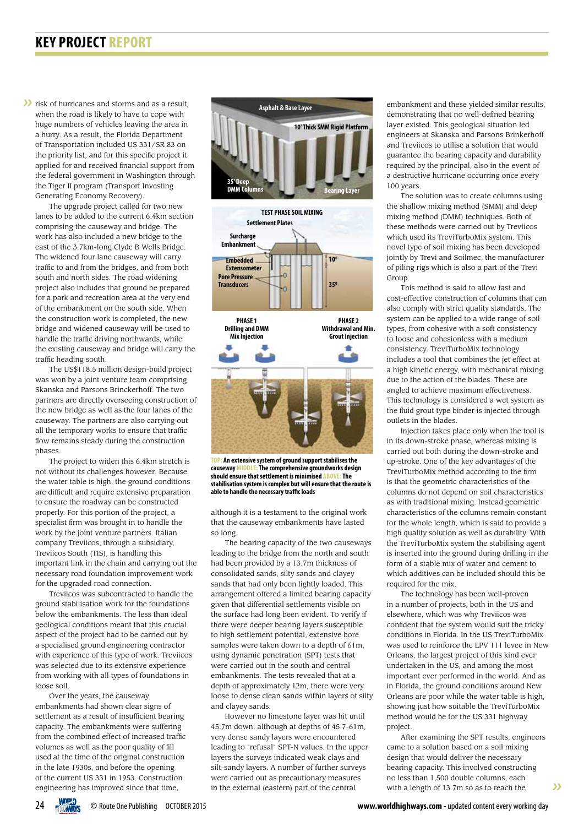## **KEY PROJECT REPORT**

**First** of hurricanes and storms and as a result, when the road is likely to have to cope with huge numbers of vehicles leaving the area in a hurry. As a result, the Florida Department of Transportation included US 331/SR 83 on the priority list, and for this specific project it applied for and received financial support from the federal government in Washington through the Tiger II program (Transport Investing Generating Economy Recovery).

The upgrade project called for two new lanes to be added to the current 6.4km section comprising the causeway and bridge. The work has also included a new bridge to the east of the 3.7km-long Clyde B Wells Bridge. The widened four lane causeway will carry traffic to and from the bridges, and from both south and north sides. The road widening project also includes that ground be prepared for a park and recreation area at the very end of the embankment on the south side. When the construction work is completed, the new bridge and widened causeway will be used to handle the traffic driving northwards, while the existing causeway and bridge will carry the traffic heading south.

The US\$118.5 million design-build project was won by a joint venture team comprising Skanska and Parsons Brinckerhoff. The two partners are directly overseeing construction of the new bridge as well as the four lanes of the causeway. The partners are also carrying out all the temporary works to ensure that traffic flow remains steady during the construction phases.

The project to widen this 6.4km stretch is not without its challenges however. Because the water table is high, the ground conditions are difficult and require extensive preparation to ensure the roadway can be constructed properly. For this portion of the project, a specialist firm was brought in to handle the work by the joint venture partners. Italian company Treviicos, through a subsidiary, Treviicos South (TIS), is handling this important link in the chain and carrying out the necessary road foundation improvement work for the upgraded road connection.

Treviicos was subcontracted to handle the ground stabilisation work for the foundations below the embankments. The less than ideal geological conditions meant that this crucial aspect of the project had to be carried out by a specialised ground engineering contractor with experience of this type of work. Treviicos was selected due to its extensive experience from working with all types of foundations in loose soil.

Over the years, the causeway embankments had shown clear signs of settlement as a result of insufficient bearing capacity. The embankments were suffering from the combined effect of increased traffic volumes as well as the poor quality of fill used at the time of the original construction in the late 1930s, and before the opening of the current US 331 in 1953. Construction engineering has improved since that time,



**TOP: An extensive system of ground support stabilises the causeway MIDDLE: The comprehensive groundworks design should ensure that settlement is minimised ABOVE: The stabilisation system is complex but will ensure that the route is able to handle the necessary traffic loads**

although it is a testament to the original work that the causeway embankments have lasted so long.

The bearing capacity of the two causeways leading to the bridge from the north and south had been provided by a 13.7m thickness of consolidated sands, silty sands and clayey sands that had only been lightly loaded. This arrangement offered a limited bearing capacity given that differential settlements visible on the surface had long been evident. To verify if there were deeper bearing layers susceptible to high settlement potential, extensive bore samples were taken down to a depth of 61m, using dynamic penetration (SPT) tests that were carried out in the south and central embankments. The tests revealed that at a depth of approximately 12m, there were very loose to dense clean sands within layers of silty and clayey sands.

However no limestone layer was hit until 45.7m down, although at depths of 45.7-61m, very dense sandy layers were encountered leading to "refusal" SPT-N values. In the upper layers the surveys indicated weak clays and silt-sandy layers. A number of further surveys were carried out as precautionary measures in the external (eastern) part of the central

embankment and these yielded similar results, demonstrating that no well-defined bearing layer existed. This geological situation led engineers at Skanska and Parsons Brinkerhoff and Treviicos to utilise a solution that would guarantee the bearing capacity and durability required by the principal, also in the event of a destructive hurricane occurring once every 100 years.

The solution was to create columns using the shallow mixing method (SMM) and deep mixing method (DMM) techniques. Both of these methods were carried out by Treviicos which used its TreviTurboMix system. This novel type of soil mixing has been developed jointly by Trevi and Soilmec, the manufacturer of piling rigs which is also a part of the Trevi Group

This method is said to allow fast and cost-effective construction of columns that can also comply with strict quality standards. The system can be applied to a wide range of soil types, from cohesive with a soft consistency to loose and cohesionless with a medium consistency. TreviTurboMix technology includes a tool that combines the jet effect at a high kinetic energy, with mechanical mixing due to the action of the blades. These are angled to achieve maximum effectiveness. This technology is considered a wet system as the fluid grout type binder is injected through outlets in the blades.

Injection takes place only when the tool is in its down-stroke phase, whereas mixing is carried out both during the down-stroke and up-stroke. One of the key advantages of the TreviTurboMix method according to the firm is that the geometric characteristics of the columns do not depend on soil characteristics as with traditional mixing. Instead geometric characteristics of the columns remain constant for the whole length, which is said to provide a high quality solution as well as durability. With the TreviTurboMix system the stabilising agent is inserted into the ground during drilling in the form of a stable mix of water and cement to which additives can be included should this be required for the mix.

The technology has been well-proven in a number of projects, both in the US and elsewhere, which was why Treviicos was confident that the system would suit the tricky conditions in Florida. In the US TreviTurboMix was used to reinforce the LPV 111 levee in New Orleans, the largest project of this kind ever undertaken in the US, and among the most important ever performed in the world. And as in Florida, the ground conditions around New Orleans are poor while the water table is high, showing just how suitable the TreviTurboMix method would be for the US 331 highway project.

After examining the SPT results, engineers came to a solution based on a soil mixing design that would deliver the necessary bearing capacity. This involved constructing no less than 1,500 double columns, each with a length of 13.7m so as to reach the

 $\mathcal{D}$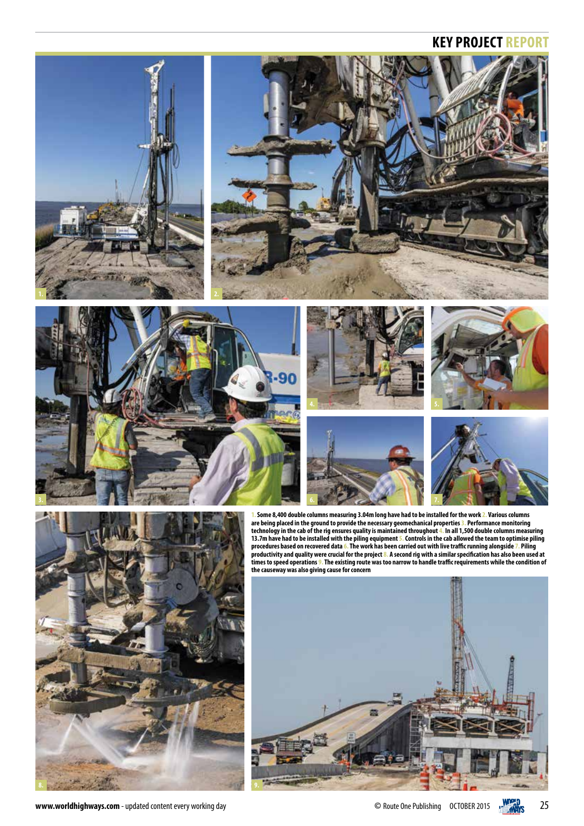## **KEY PROJECT REPORT**

















**1. Some 8,400 double columns measuring 3.04m long have had to be installed for the work 2. Various columns are being placed in the ground to provide the necessary geomechanical properties 3. Performance monitoring technology in the cab of the rig ensures quality is maintained throughout 4. In all 1,500 double columns measuring 13.7m have had to be installed with the piling equipment 5. Controls in the cab allowed the team to optimise piling procedures based on recovered data 6. The work has been carried out with live traffic running alongside 7. Piling productivity and quality were crucial for the project 8. A second rig with a similar specification has also been used at times to speed operations 9. The existing route was too narrow to handle traffic requirements while the condition of the causeway was also giving cause for concern**